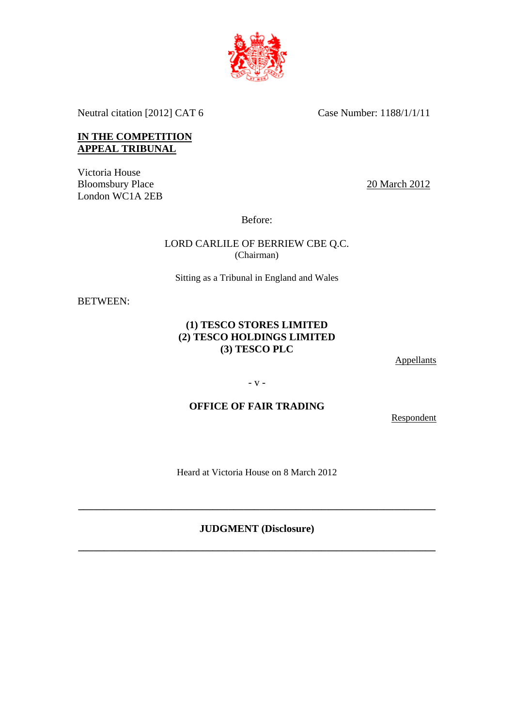

Neutral citation [2012] CAT 6 Case Number: 1188/1/1/11

### **IN THE COMPETITION APPEAL TRIBUNAL**

Victoria House Bloomsbury Place London WC1A 2EB

20 March 2012

Before:

LORD CARLILE OF BERRIEW CBE Q.C. (Chairman)

Sitting as a Tribunal in England and Wales

BETWEEN:

### **(1) TESCO STORES LIMITED (2) TESCO HOLDINGS LIMITED (3) TESCO PLC**

**Appellants** 

- v -

## **OFFICE OF FAIR TRADING**

Respondent

Heard at Victoria House on 8 March 2012

## **JUDGMENT (Disclosure)**

**\_\_\_\_\_\_\_\_\_\_\_\_\_\_\_\_\_\_\_\_\_\_\_\_\_\_\_\_\_\_\_\_\_\_\_\_\_\_\_\_\_\_\_\_\_\_\_\_\_\_\_\_\_\_\_\_\_\_\_\_\_\_\_\_\_\_\_\_\_** 

**\_\_\_\_\_\_\_\_\_\_\_\_\_\_\_\_\_\_\_\_\_\_\_\_\_\_\_\_\_\_\_\_\_\_\_\_\_\_\_\_\_\_\_\_\_\_\_\_\_\_\_\_\_\_\_\_\_\_\_\_\_\_\_\_\_\_\_\_\_**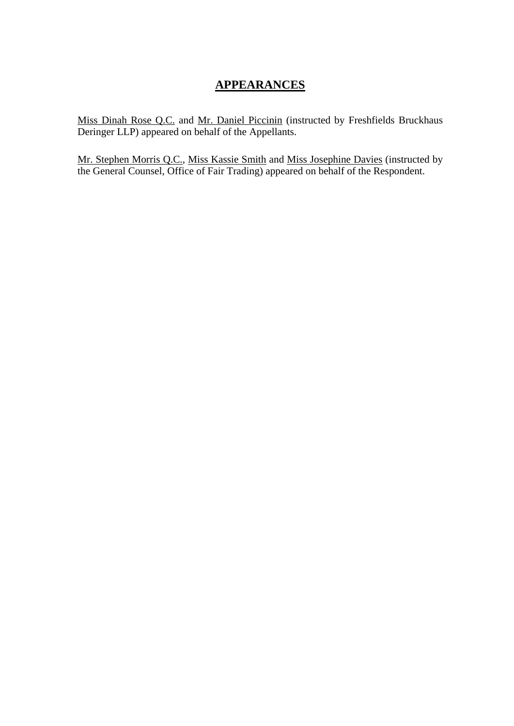# **APPEARANCES**

Miss Dinah Rose Q.C. and Mr. Daniel Piccinin (instructed by Freshfields Bruckhaus Deringer LLP) appeared on behalf of the Appellants.

Mr. Stephen Morris Q.C., Miss Kassie Smith and Miss Josephine Davies (instructed by the General Counsel, Office of Fair Trading) appeared on behalf of the Respondent.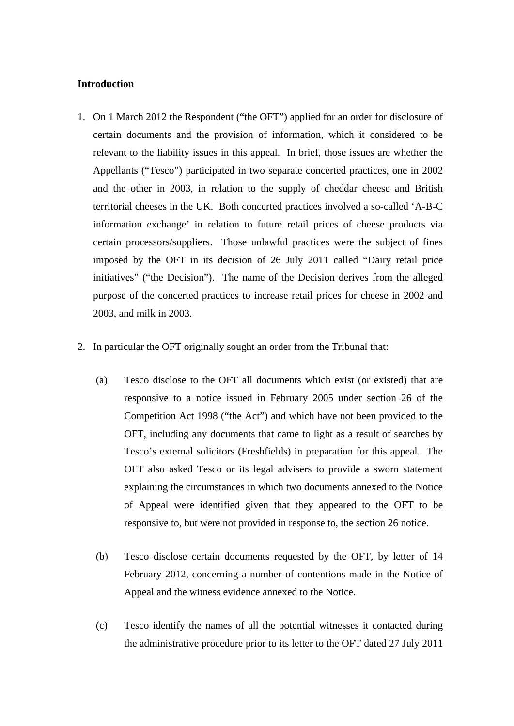### **Introduction**

- 1. On 1 March 2012 the Respondent ("the OFT") applied for an order for disclosure of certain documents and the provision of information, which it considered to be relevant to the liability issues in this appeal. In brief, those issues are whether the Appellants ("Tesco") participated in two separate concerted practices, one in 2002 and the other in 2003, in relation to the supply of cheddar cheese and British territorial cheeses in the UK. Both concerted practices involved a so-called 'A-B-C information exchange' in relation to future retail prices of cheese products via certain processors/suppliers. Those unlawful practices were the subject of fines imposed by the OFT in its decision of 26 July 2011 called "Dairy retail price initiatives" ("the Decision"). The name of the Decision derives from the alleged purpose of the concerted practices to increase retail prices for cheese in 2002 and 2003, and milk in 2003.
- 2. In particular the OFT originally sought an order from the Tribunal that:
	- (a) Tesco disclose to the OFT all documents which exist (or existed) that are responsive to a notice issued in February 2005 under section 26 of the Competition Act 1998 ("the Act") and which have not been provided to the OFT, including any documents that came to light as a result of searches by Tesco's external solicitors (Freshfields) in preparation for this appeal. The OFT also asked Tesco or its legal advisers to provide a sworn statement explaining the circumstances in which two documents annexed to the Notice of Appeal were identified given that they appeared to the OFT to be responsive to, but were not provided in response to, the section 26 notice.
	- (b) Tesco disclose certain documents requested by the OFT, by letter of 14 February 2012, concerning a number of contentions made in the Notice of Appeal and the witness evidence annexed to the Notice.
	- (c) Tesco identify the names of all the potential witnesses it contacted during the administrative procedure prior to its letter to the OFT dated 27 July 2011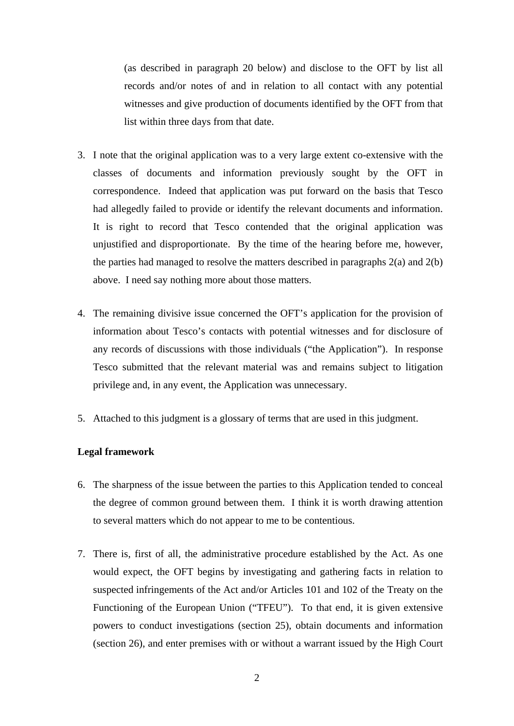(as described in paragraph 20 below) and disclose to the OFT by list all records and/or notes of and in relation to all contact with any potential witnesses and give production of documents identified by the OFT from that list within three days from that date.

- 3. I note that the original application was to a very large extent co-extensive with the classes of documents and information previously sought by the OFT in correspondence. Indeed that application was put forward on the basis that Tesco had allegedly failed to provide or identify the relevant documents and information. It is right to record that Tesco contended that the original application was unjustified and disproportionate. By the time of the hearing before me, however, the parties had managed to resolve the matters described in paragraphs 2(a) and 2(b) above. I need say nothing more about those matters.
- 4. The remaining divisive issue concerned the OFT's application for the provision of information about Tesco's contacts with potential witnesses and for disclosure of any records of discussions with those individuals ("the Application"). In response Tesco submitted that the relevant material was and remains subject to litigation privilege and, in any event, the Application was unnecessary.
- 5. Attached to this judgment is a glossary of terms that are used in this judgment.

### **Legal framework**

- 6. The sharpness of the issue between the parties to this Application tended to conceal the degree of common ground between them. I think it is worth drawing attention to several matters which do not appear to me to be contentious.
- 7. There is, first of all, the administrative procedure established by the Act. As one would expect, the OFT begins by investigating and gathering facts in relation to suspected infringements of the Act and/or Articles 101 and 102 of the Treaty on the Functioning of the European Union ("TFEU"). To that end, it is given extensive powers to conduct investigations (section 25), obtain documents and information (section 26), and enter premises with or without a warrant issued by the High Court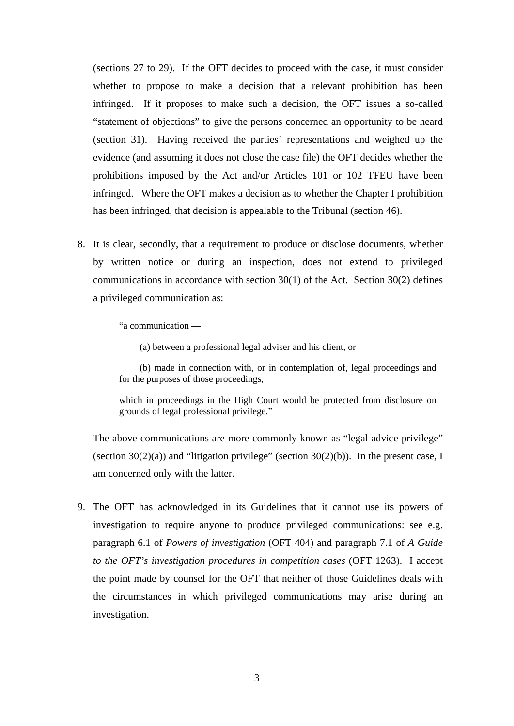(sections 27 to 29). If the OFT decides to proceed with the case, it must consider whether to propose to make a decision that a relevant prohibition has been infringed. If it proposes to make such a decision, the OFT issues a so-called "statement of objections" to give the persons concerned an opportunity to be heard (section 31). Having received the parties' representations and weighed up the evidence (and assuming it does not close the case file) the OFT decides whether the prohibitions imposed by the Act and/or Articles 101 or 102 TFEU have been infringed. Where the OFT makes a decision as to whether the Chapter I prohibition has been infringed, that decision is appealable to the Tribunal (section 46).

8. It is clear, secondly, that a requirement to produce or disclose documents, whether by written notice or during an inspection, does not extend to privileged communications in accordance with section 30(1) of the Act. Section 30(2) defines a privileged communication as:

"a communication —

(a) between a professional legal adviser and his client, or

(b) made in connection with, or in contemplation of, legal proceedings and for the purposes of those proceedings,

which in proceedings in the High Court would be protected from disclosure on grounds of legal professional privilege."

The above communications are more commonly known as "legal advice privilege" (section 30(2)(a)) and "litigation privilege" (section 30(2)(b)). In the present case, I am concerned only with the latter.

9. The OFT has acknowledged in its Guidelines that it cannot use its powers of investigation to require anyone to produce privileged communications: see e.g. paragraph 6.1 of *Powers of investigation* (OFT 404) and paragraph 7.1 of *A Guide to the OFT's investigation procedures in competition cases* (OFT 1263). I accept the point made by counsel for the OFT that neither of those Guidelines deals with the circumstances in which privileged communications may arise during an investigation.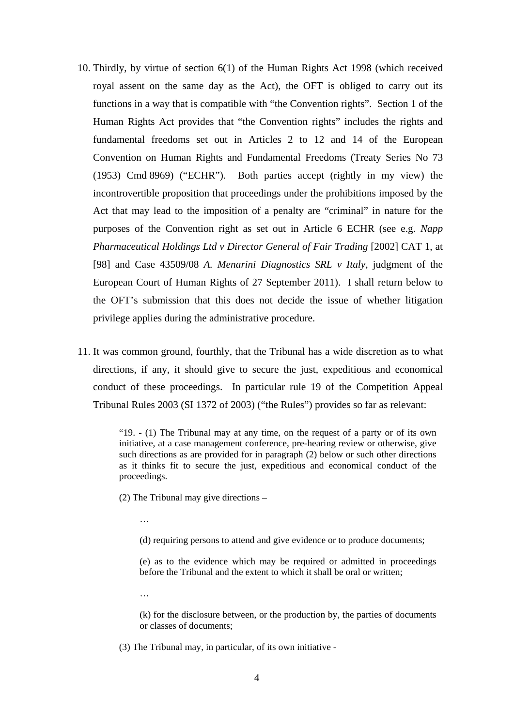- 10. Thirdly, by virtue of section 6(1) of the Human Rights Act 1998 (which received royal assent on the same day as the Act), the OFT is obliged to carry out its functions in a way that is compatible with "the Convention rights". Section 1 of the Human Rights Act provides that "the Convention rights" includes the rights and fundamental freedoms set out in Articles 2 to 12 and 14 of the European Convention on Human Rights and Fundamental Freedoms (Treaty Series No 73 (1953) Cmd 8969) ("ECHR"). Both parties accept (rightly in my view) the incontrovertible proposition that proceedings under the prohibitions imposed by the Act that may lead to the imposition of a penalty are "criminal" in nature for the purposes of the Convention right as set out in Article 6 ECHR (see e.g. *Napp Pharmaceutical Holdings Ltd v Director General of Fair Trading* [2002] CAT 1, at [98] and Case 43509/08 *A. Menarini Diagnostics SRL v Italy*, judgment of the European Court of Human Rights of 27 September 2011). I shall return below to the OFT's submission that this does not decide the issue of whether litigation privilege applies during the administrative procedure.
- 11. It was common ground, fourthly, that the Tribunal has a wide discretion as to what directions, if any, it should give to secure the just, expeditious and economical conduct of these proceedings. In particular rule 19 of the Competition Appeal Tribunal Rules 2003 (SI 1372 of 2003) ("the Rules") provides so far as relevant:

"19. - (1) The Tribunal may at any time, on the request of a party or of its own initiative, at a case management conference, pre-hearing review or otherwise, give such directions as are provided for in paragraph (2) below or such other directions as it thinks fit to secure the just, expeditious and economical conduct of the proceedings.

(2) The Tribunal may give directions –

…

…

(d) requiring persons to attend and give evidence or to produce documents;

(e) as to the evidence which may be required or admitted in proceedings before the Tribunal and the extent to which it shall be oral or written;

(k) for the disclosure between, or the production by, the parties of documents or classes of documents;

(3) The Tribunal may, in particular, of its own initiative -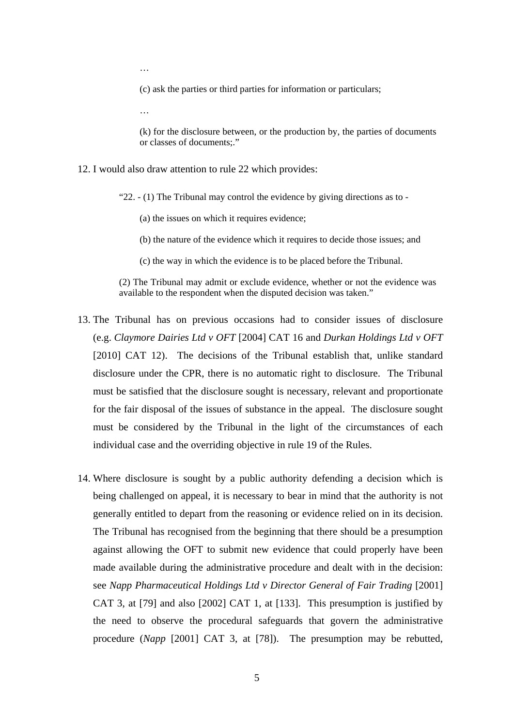…

(c) ask the parties or third parties for information or particulars;

…

(k) for the disclosure between, or the production by, the parties of documents or classes of documents;."

- 12. I would also draw attention to rule 22 which provides:
	- "22. (1) The Tribunal may control the evidence by giving directions as to
		- (a) the issues on which it requires evidence;
		- (b) the nature of the evidence which it requires to decide those issues; and
		- (c) the way in which the evidence is to be placed before the Tribunal.

(2) The Tribunal may admit or exclude evidence, whether or not the evidence was available to the respondent when the disputed decision was taken."

- 13. The Tribunal has on previous occasions had to consider issues of disclosure (e.g. *Claymore Dairies Ltd v OFT* [2004] CAT 16 and *Durkan Holdings Ltd v OFT*  [2010] CAT 12). The decisions of the Tribunal establish that, unlike standard disclosure under the CPR, there is no automatic right to disclosure. The Tribunal must be satisfied that the disclosure sought is necessary, relevant and proportionate for the fair disposal of the issues of substance in the appeal. The disclosure sought must be considered by the Tribunal in the light of the circumstances of each individual case and the overriding objective in rule 19 of the Rules.
- 14. Where disclosure is sought by a public authority defending a decision which is being challenged on appeal, it is necessary to bear in mind that the authority is not generally entitled to depart from the reasoning or evidence relied on in its decision. The Tribunal has recognised from the beginning that there should be a presumption against allowing the OFT to submit new evidence that could properly have been made available during the administrative procedure and dealt with in the decision: see *Napp Pharmaceutical Holdings Ltd v Director General of Fair Trading* [2001] CAT 3, at [79] and also [2002] CAT 1, at [133]. This presumption is justified by the need to observe the procedural safeguards that govern the administrative procedure (*Napp* [2001] CAT 3, at [78]). The presumption may be rebutted,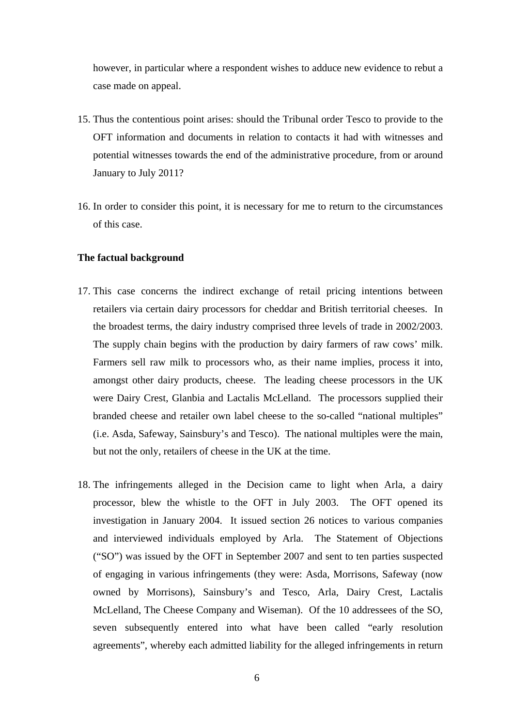however, in particular where a respondent wishes to adduce new evidence to rebut a case made on appeal.

- 15. Thus the contentious point arises: should the Tribunal order Tesco to provide to the OFT information and documents in relation to contacts it had with witnesses and potential witnesses towards the end of the administrative procedure, from or around January to July 2011?
- 16. In order to consider this point, it is necessary for me to return to the circumstances of this case.

#### **The factual background**

- 17. This case concerns the indirect exchange of retail pricing intentions between retailers via certain dairy processors for cheddar and British territorial cheeses. In the broadest terms, the dairy industry comprised three levels of trade in 2002/2003. The supply chain begins with the production by dairy farmers of raw cows' milk. Farmers sell raw milk to processors who, as their name implies, process it into, amongst other dairy products, cheese. The leading cheese processors in the UK were Dairy Crest, Glanbia and Lactalis McLelland. The processors supplied their branded cheese and retailer own label cheese to the so-called "national multiples" (i.e. Asda, Safeway, Sainsbury's and Tesco). The national multiples were the main, but not the only, retailers of cheese in the UK at the time.
- 18. The infringements alleged in the Decision came to light when Arla, a dairy processor, blew the whistle to the OFT in July 2003. The OFT opened its investigation in January 2004. It issued section 26 notices to various companies and interviewed individuals employed by Arla. The Statement of Objections ("SO") was issued by the OFT in September 2007 and sent to ten parties suspected of engaging in various infringements (they were: Asda, Morrisons, Safeway (now owned by Morrisons), Sainsbury's and Tesco, Arla, Dairy Crest, Lactalis McLelland, The Cheese Company and Wiseman). Of the 10 addressees of the SO, seven subsequently entered into what have been called "early resolution agreements", whereby each admitted liability for the alleged infringements in return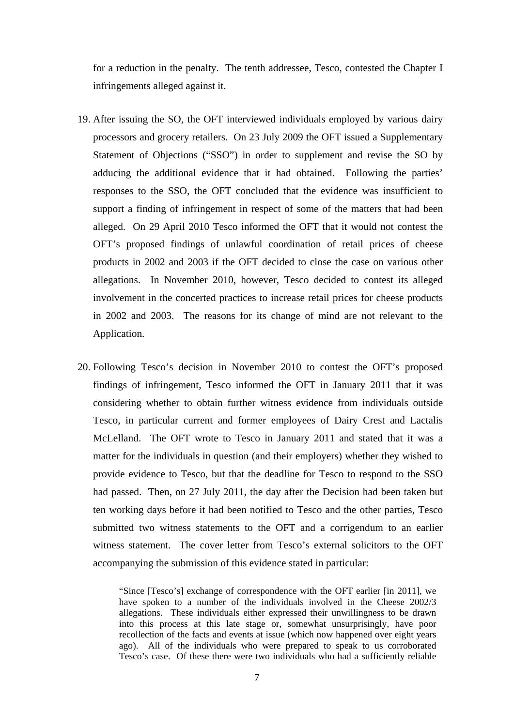for a reduction in the penalty. The tenth addressee, Tesco, contested the Chapter I infringements alleged against it.

- 19. After issuing the SO, the OFT interviewed individuals employed by various dairy processors and grocery retailers. On 23 July 2009 the OFT issued a Supplementary Statement of Objections ("SSO") in order to supplement and revise the SO by adducing the additional evidence that it had obtained. Following the parties' responses to the SSO, the OFT concluded that the evidence was insufficient to support a finding of infringement in respect of some of the matters that had been alleged. On 29 April 2010 Tesco informed the OFT that it would not contest the OFT's proposed findings of unlawful coordination of retail prices of cheese products in 2002 and 2003 if the OFT decided to close the case on various other allegations. In November 2010, however, Tesco decided to contest its alleged involvement in the concerted practices to increase retail prices for cheese products in 2002 and 2003. The reasons for its change of mind are not relevant to the Application.
- 20. Following Tesco's decision in November 2010 to contest the OFT's proposed findings of infringement, Tesco informed the OFT in January 2011 that it was considering whether to obtain further witness evidence from individuals outside Tesco, in particular current and former employees of Dairy Crest and Lactalis McLelland. The OFT wrote to Tesco in January 2011 and stated that it was a matter for the individuals in question (and their employers) whether they wished to provide evidence to Tesco, but that the deadline for Tesco to respond to the SSO had passed. Then, on 27 July 2011, the day after the Decision had been taken but ten working days before it had been notified to Tesco and the other parties, Tesco submitted two witness statements to the OFT and a corrigendum to an earlier witness statement. The cover letter from Tesco's external solicitors to the OFT accompanying the submission of this evidence stated in particular:

"Since [Tesco's] exchange of correspondence with the OFT earlier [in 2011], we have spoken to a number of the individuals involved in the Cheese 2002/3 allegations. These individuals either expressed their unwillingness to be drawn into this process at this late stage or, somewhat unsurprisingly, have poor recollection of the facts and events at issue (which now happened over eight years ago). All of the individuals who were prepared to speak to us corroborated Tesco's case. Of these there were two individuals who had a sufficiently reliable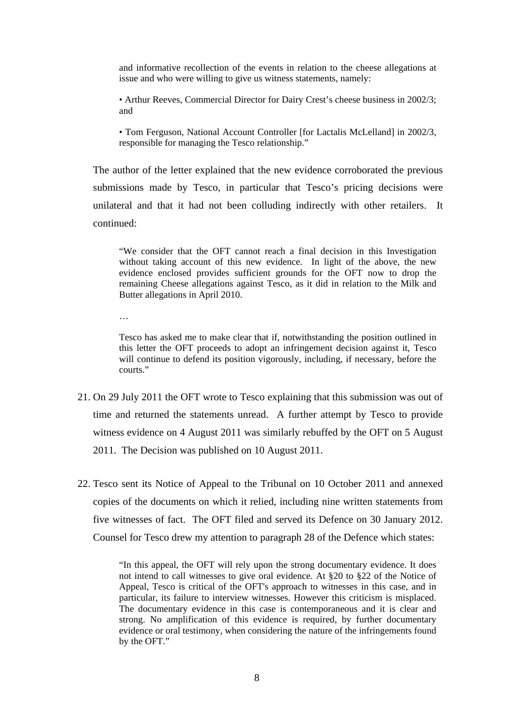and informative recollection of the events in relation to the cheese allegations at issue and who were willing to give us witness statements, namely:

• Arthur Reeves, Commercial Director for Dairy Crest's cheese business in 2002/3; and

• Tom Ferguson, National Account Controller [for Lactalis McLelland] in 2002/3, responsible for managing the Tesco relationship."

The author of the letter explained that the new evidence corroborated the previous submissions made by Tesco, in particular that Tesco's pricing decisions were unilateral and that it had not been colluding indirectly with other retailers. It continued:

"We consider that the OFT cannot reach a final decision in this Investigation without taking account of this new evidence. In light of the above, the new evidence enclosed provides sufficient grounds for the OFT now to drop the remaining Cheese allegations against Tesco, as it did in relation to the Milk and Butter allegations in April 2010.

…

Tesco has asked me to make clear that if, notwithstanding the position outlined in this letter the OFT proceeds to adopt an infringement decision against it, Tesco will continue to defend its position vigorously, including, if necessary, before the courts."

- 21. On 29 July 2011 the OFT wrote to Tesco explaining that this submission was out of time and returned the statements unread. A further attempt by Tesco to provide witness evidence on 4 August 2011 was similarly rebuffed by the OFT on 5 August 2011. The Decision was published on 10 August 2011.
- 22. Tesco sent its Notice of Appeal to the Tribunal on 10 October 2011 and annexed copies of the documents on which it relied, including nine written statements from five witnesses of fact. The OFT filed and served its Defence on 30 January 2012. Counsel for Tesco drew my attention to paragraph 28 of the Defence which states:

"In this appeal, the OFT will rely upon the strong documentary evidence. It does not intend to call witnesses to give oral evidence. At §20 to §22 of the Notice of Appeal, Tesco is critical of the OFT's approach to witnesses in this case, and in particular, its failure to interview witnesses. However this criticism is misplaced. The documentary evidence in this case is contemporaneous and it is clear and strong. No amplification of this evidence is required, by further documentary evidence or oral testimony, when considering the nature of the infringements found by the OFT."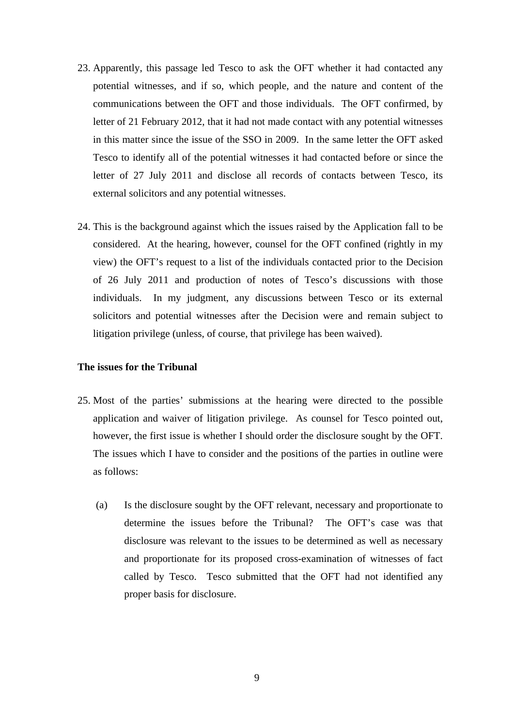- 23. Apparently, this passage led Tesco to ask the OFT whether it had contacted any potential witnesses, and if so, which people, and the nature and content of the communications between the OFT and those individuals. The OFT confirmed, by letter of 21 February 2012, that it had not made contact with any potential witnesses in this matter since the issue of the SSO in 2009. In the same letter the OFT asked Tesco to identify all of the potential witnesses it had contacted before or since the letter of 27 July 2011 and disclose all records of contacts between Tesco, its external solicitors and any potential witnesses.
- 24. This is the background against which the issues raised by the Application fall to be considered. At the hearing, however, counsel for the OFT confined (rightly in my view) the OFT's request to a list of the individuals contacted prior to the Decision of 26 July 2011 and production of notes of Tesco's discussions with those individuals. In my judgment, any discussions between Tesco or its external solicitors and potential witnesses after the Decision were and remain subject to litigation privilege (unless, of course, that privilege has been waived).

### **The issues for the Tribunal**

- 25. Most of the parties' submissions at the hearing were directed to the possible application and waiver of litigation privilege. As counsel for Tesco pointed out, however, the first issue is whether I should order the disclosure sought by the OFT. The issues which I have to consider and the positions of the parties in outline were as follows:
	- (a) Is the disclosure sought by the OFT relevant, necessary and proportionate to determine the issues before the Tribunal? The OFT's case was that disclosure was relevant to the issues to be determined as well as necessary and proportionate for its proposed cross-examination of witnesses of fact called by Tesco. Tesco submitted that the OFT had not identified any proper basis for disclosure.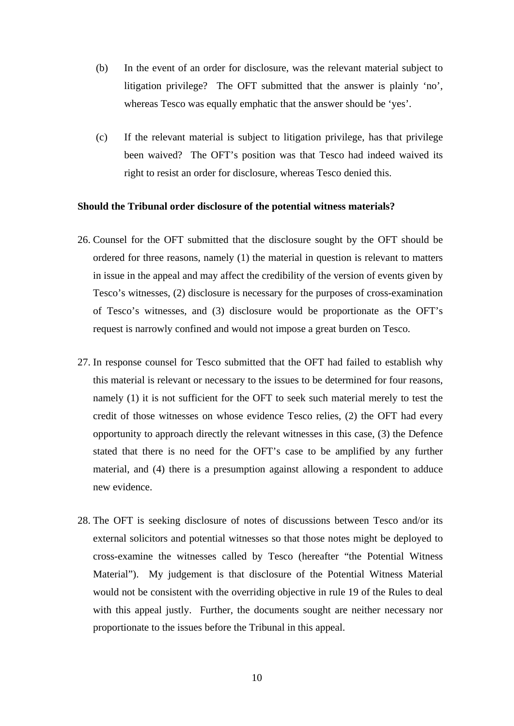- (b) In the event of an order for disclosure, was the relevant material subject to litigation privilege? The OFT submitted that the answer is plainly 'no', whereas Tesco was equally emphatic that the answer should be 'yes'.
- (c) If the relevant material is subject to litigation privilege, has that privilege been waived? The OFT's position was that Tesco had indeed waived its right to resist an order for disclosure, whereas Tesco denied this.

#### **Should the Tribunal order disclosure of the potential witness materials?**

- 26. Counsel for the OFT submitted that the disclosure sought by the OFT should be ordered for three reasons, namely (1) the material in question is relevant to matters in issue in the appeal and may affect the credibility of the version of events given by Tesco's witnesses, (2) disclosure is necessary for the purposes of cross-examination of Tesco's witnesses, and (3) disclosure would be proportionate as the OFT's request is narrowly confined and would not impose a great burden on Tesco.
- 27. In response counsel for Tesco submitted that the OFT had failed to establish why this material is relevant or necessary to the issues to be determined for four reasons, namely (1) it is not sufficient for the OFT to seek such material merely to test the credit of those witnesses on whose evidence Tesco relies, (2) the OFT had every opportunity to approach directly the relevant witnesses in this case, (3) the Defence stated that there is no need for the OFT's case to be amplified by any further material, and (4) there is a presumption against allowing a respondent to adduce new evidence.
- 28. The OFT is seeking disclosure of notes of discussions between Tesco and/or its external solicitors and potential witnesses so that those notes might be deployed to cross-examine the witnesses called by Tesco (hereafter "the Potential Witness Material"). My judgement is that disclosure of the Potential Witness Material would not be consistent with the overriding objective in rule 19 of the Rules to deal with this appeal justly. Further, the documents sought are neither necessary nor proportionate to the issues before the Tribunal in this appeal.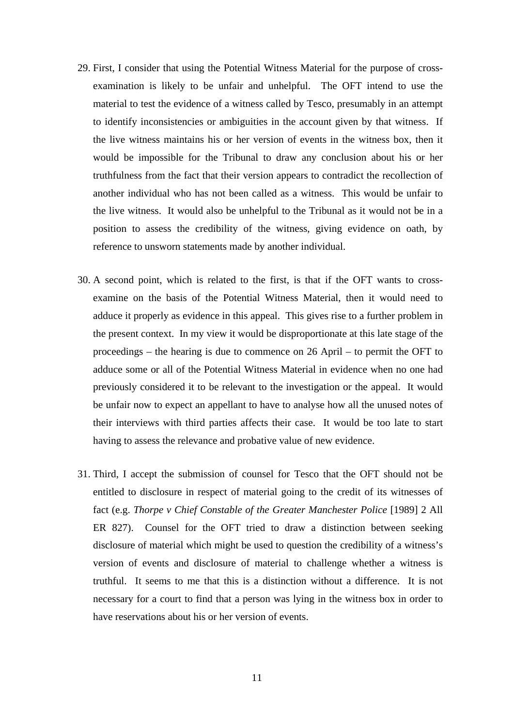- 29. First, I consider that using the Potential Witness Material for the purpose of crossexamination is likely to be unfair and unhelpful. The OFT intend to use the material to test the evidence of a witness called by Tesco, presumably in an attempt to identify inconsistencies or ambiguities in the account given by that witness. If the live witness maintains his or her version of events in the witness box, then it would be impossible for the Tribunal to draw any conclusion about his or her truthfulness from the fact that their version appears to contradict the recollection of another individual who has not been called as a witness. This would be unfair to the live witness. It would also be unhelpful to the Tribunal as it would not be in a position to assess the credibility of the witness, giving evidence on oath, by reference to unsworn statements made by another individual.
- 30. A second point, which is related to the first, is that if the OFT wants to crossexamine on the basis of the Potential Witness Material, then it would need to adduce it properly as evidence in this appeal. This gives rise to a further problem in the present context. In my view it would be disproportionate at this late stage of the proceedings – the hearing is due to commence on 26 April – to permit the OFT to adduce some or all of the Potential Witness Material in evidence when no one had previously considered it to be relevant to the investigation or the appeal. It would be unfair now to expect an appellant to have to analyse how all the unused notes of their interviews with third parties affects their case. It would be too late to start having to assess the relevance and probative value of new evidence.
- 31. Third, I accept the submission of counsel for Tesco that the OFT should not be entitled to disclosure in respect of material going to the credit of its witnesses of fact (e.g. *Thorpe v Chief Constable of the Greater Manchester Police* [1989] 2 All ER 827). Counsel for the OFT tried to draw a distinction between seeking disclosure of material which might be used to question the credibility of a witness's version of events and disclosure of material to challenge whether a witness is truthful. It seems to me that this is a distinction without a difference. It is not necessary for a court to find that a person was lying in the witness box in order to have reservations about his or her version of events.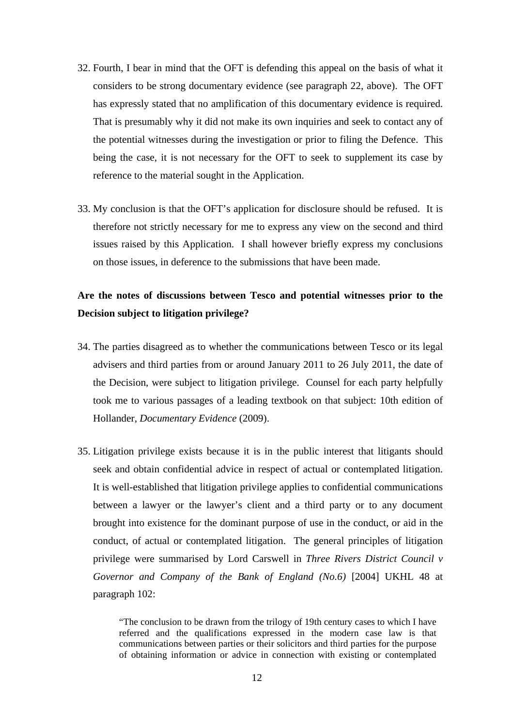- 32. Fourth, I bear in mind that the OFT is defending this appeal on the basis of what it considers to be strong documentary evidence (see paragraph 22, above). The OFT has expressly stated that no amplification of this documentary evidence is required. That is presumably why it did not make its own inquiries and seek to contact any of the potential witnesses during the investigation or prior to filing the Defence. This being the case, it is not necessary for the OFT to seek to supplement its case by reference to the material sought in the Application.
- 33. My conclusion is that the OFT's application for disclosure should be refused. It is therefore not strictly necessary for me to express any view on the second and third issues raised by this Application. I shall however briefly express my conclusions on those issues, in deference to the submissions that have been made.

# **Are the notes of discussions between Tesco and potential witnesses prior to the Decision subject to litigation privilege?**

- 34. The parties disagreed as to whether the communications between Tesco or its legal advisers and third parties from or around January 2011 to 26 July 2011, the date of the Decision, were subject to litigation privilege. Counsel for each party helpfully took me to various passages of a leading textbook on that subject: 10th edition of Hollander, *Documentary Evidence* (2009).
- 35. Litigation privilege exists because it is in the public interest that litigants should seek and obtain confidential advice in respect of actual or contemplated litigation. It is well-established that litigation privilege applies to confidential communications between a lawyer or the lawyer's client and a third party or to any document brought into existence for the dominant purpose of use in the conduct, or aid in the conduct, of actual or contemplated litigation. The general principles of litigation privilege were summarised by Lord Carswell in *Three Rivers District Council v Governor and Company of the Bank of England (No.6)* [2004] UKHL 48 at paragraph 102:

"The conclusion to be drawn from the trilogy of 19th century cases to which I have referred and the qualifications expressed in the modern case law is that communications between parties or their solicitors and third parties for the purpose of obtaining information or advice in connection with existing or contemplated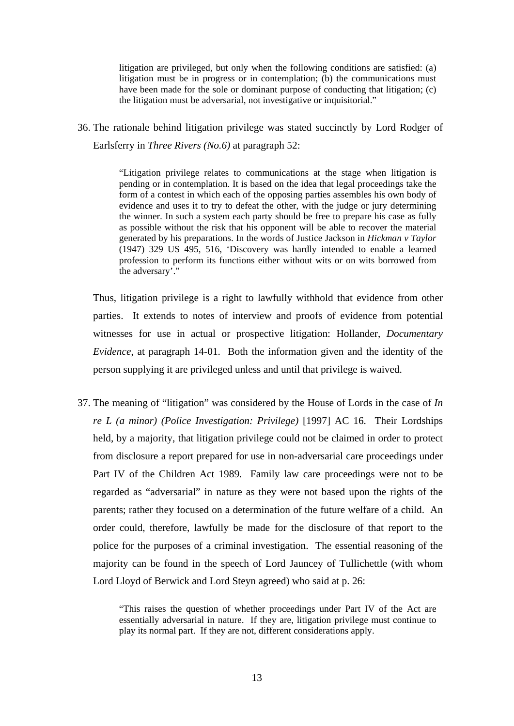litigation are privileged, but only when the following conditions are satisfied: (a) litigation must be in progress or in contemplation; (b) the communications must have been made for the sole or dominant purpose of conducting that litigation; (c) the litigation must be adversarial, not investigative or inquisitorial."

36. The rationale behind litigation privilege was stated succinctly by Lord Rodger of Earlsferry in *Three Rivers (No.6)* at paragraph 52:

> "Litigation privilege relates to communications at the stage when litigation is pending or in contemplation. It is based on the idea that legal proceedings take the form of a contest in which each of the opposing parties assembles his own body of evidence and uses it to try to defeat the other, with the judge or jury determining the winner. In such a system each party should be free to prepare his case as fully as possible without the risk that his opponent will be able to recover the material generated by his preparations. In the words of Justice Jackson in *Hickman v Taylor* (1947) 329 US 495, 516, 'Discovery was hardly intended to enable a learned profession to perform its functions either without wits or on wits borrowed from the adversary'."

Thus, litigation privilege is a right to lawfully withhold that evidence from other parties. It extends to notes of interview and proofs of evidence from potential witnesses for use in actual or prospective litigation: Hollander, *Documentary Evidence*, at paragraph 14-01. Both the information given and the identity of the person supplying it are privileged unless and until that privilege is waived.

37. The meaning of "litigation" was considered by the House of Lords in the case of *In re L (a minor) (Police Investigation: Privilege)* [1997] AC 16. Their Lordships held, by a majority, that litigation privilege could not be claimed in order to protect from disclosure a report prepared for use in non-adversarial care proceedings under Part IV of the Children Act 1989. Family law care proceedings were not to be regarded as "adversarial" in nature as they were not based upon the rights of the parents; rather they focused on a determination of the future welfare of a child. An order could, therefore, lawfully be made for the disclosure of that report to the police for the purposes of a criminal investigation. The essential reasoning of the majority can be found in the speech of Lord Jauncey of Tullichettle (with whom Lord Lloyd of Berwick and Lord Steyn agreed) who said at p. 26:

> "This raises the question of whether proceedings under Part IV of the Act are essentially adversarial in nature. If they are, litigation privilege must continue to play its normal part. If they are not, different considerations apply.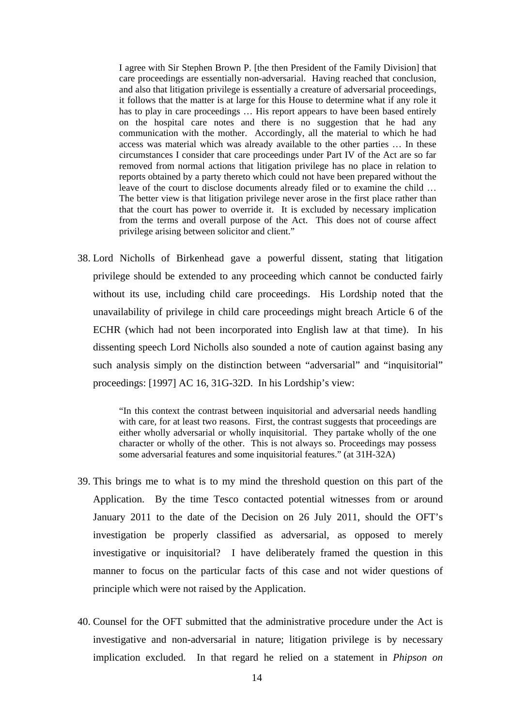I agree with Sir Stephen Brown P. [the then President of the Family Division] that care proceedings are essentially non-adversarial. Having reached that conclusion, and also that litigation privilege is essentially a creature of adversarial proceedings, it follows that the matter is at large for this House to determine what if any role it has to play in care proceedings ... His report appears to have been based entirely on the hospital care notes and there is no suggestion that he had any communication with the mother. Accordingly, all the material to which he had access was material which was already available to the other parties … In these circumstances I consider that care proceedings under Part IV of the Act are so far removed from normal actions that litigation privilege has no place in relation to reports obtained by a party thereto which could not have been prepared without the leave of the court to disclose documents already filed or to examine the child … The better view is that litigation privilege never arose in the first place rather than that the court has power to override it. It is excluded by necessary implication from the terms and overall purpose of the Act. This does not of course affect privilege arising between solicitor and client."

38. Lord Nicholls of Birkenhead gave a powerful dissent, stating that litigation privilege should be extended to any proceeding which cannot be conducted fairly without its use, including child care proceedings. His Lordship noted that the unavailability of privilege in child care proceedings might breach Article 6 of the ECHR (which had not been incorporated into English law at that time). In his dissenting speech Lord Nicholls also sounded a note of caution against basing any such analysis simply on the distinction between "adversarial" and "inquisitorial" proceedings: [1997] AC 16, 31G-32D. In his Lordship's view:

> "In this context the contrast between inquisitorial and adversarial needs handling with care, for at least two reasons. First, the contrast suggests that proceedings are either wholly adversarial or wholly inquisitorial. They partake wholly of the one character or wholly of the other. This is not always so. Proceedings may possess some adversarial features and some inquisitorial features." (at 31H-32A)

- 39. This brings me to what is to my mind the threshold question on this part of the Application. By the time Tesco contacted potential witnesses from or around January 2011 to the date of the Decision on 26 July 2011, should the OFT's investigation be properly classified as adversarial, as opposed to merely investigative or inquisitorial? I have deliberately framed the question in this manner to focus on the particular facts of this case and not wider questions of principle which were not raised by the Application.
- 40. Counsel for the OFT submitted that the administrative procedure under the Act is investigative and non-adversarial in nature; litigation privilege is by necessary implication excluded. In that regard he relied on a statement in *Phipson on*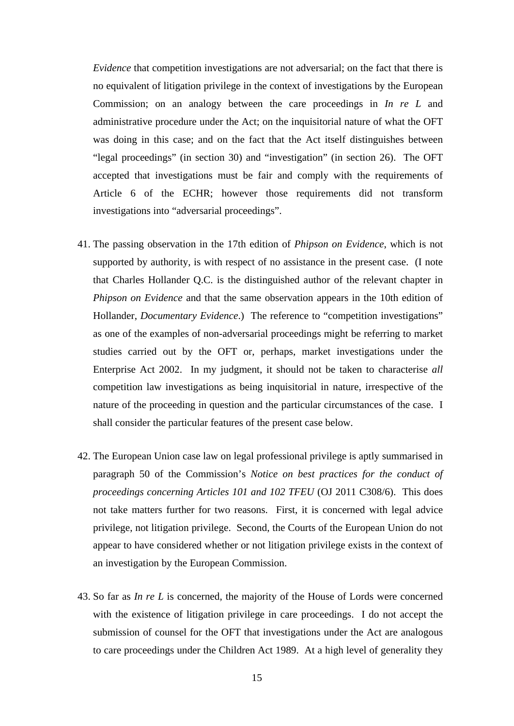*Evidence* that competition investigations are not adversarial; on the fact that there is no equivalent of litigation privilege in the context of investigations by the European Commission; on an analogy between the care proceedings in *In re L* and administrative procedure under the Act; on the inquisitorial nature of what the OFT was doing in this case; and on the fact that the Act itself distinguishes between "legal proceedings" (in section 30) and "investigation" (in section 26). The OFT accepted that investigations must be fair and comply with the requirements of Article 6 of the ECHR; however those requirements did not transform investigations into "adversarial proceedings".

- 41. The passing observation in the 17th edition of *Phipson on Evidence*, which is not supported by authority, is with respect of no assistance in the present case. (I note that Charles Hollander Q.C. is the distinguished author of the relevant chapter in *Phipson on Evidence* and that the same observation appears in the 10th edition of Hollander, *Documentary Evidence*.) The reference to "competition investigations" as one of the examples of non-adversarial proceedings might be referring to market studies carried out by the OFT or, perhaps, market investigations under the Enterprise Act 2002. In my judgment, it should not be taken to characterise *all* competition law investigations as being inquisitorial in nature, irrespective of the nature of the proceeding in question and the particular circumstances of the case. I shall consider the particular features of the present case below.
- 42. The European Union case law on legal professional privilege is aptly summarised in paragraph 50 of the Commission's *Notice on best practices for the conduct of proceedings concerning Articles 101 and 102 TFEU* (OJ 2011 C308/6). This does not take matters further for two reasons. First, it is concerned with legal advice privilege, not litigation privilege. Second, the Courts of the European Union do not appear to have considered whether or not litigation privilege exists in the context of an investigation by the European Commission.
- 43. So far as *In re L* is concerned, the majority of the House of Lords were concerned with the existence of litigation privilege in care proceedings. I do not accept the submission of counsel for the OFT that investigations under the Act are analogous to care proceedings under the Children Act 1989. At a high level of generality they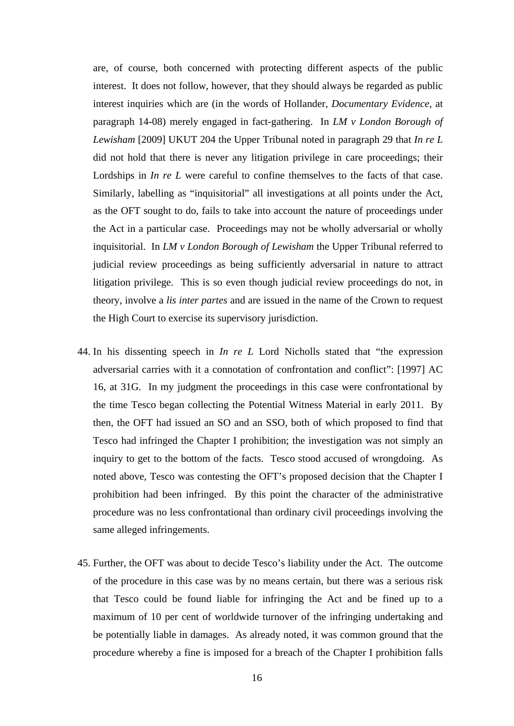are, of course, both concerned with protecting different aspects of the public interest. It does not follow, however, that they should always be regarded as public interest inquiries which are (in the words of Hollander, *Documentary Evidence*, at paragraph 14-08) merely engaged in fact-gathering. In *LM v London Borough of Lewisham* [2009] UKUT 204 the Upper Tribunal noted in paragraph 29 that *In re L*  did not hold that there is never any litigation privilege in care proceedings; their Lordships in *In re L* were careful to confine themselves to the facts of that case. Similarly, labelling as "inquisitorial" all investigations at all points under the Act, as the OFT sought to do, fails to take into account the nature of proceedings under the Act in a particular case. Proceedings may not be wholly adversarial or wholly inquisitorial. In *LM v London Borough of Lewisham* the Upper Tribunal referred to judicial review proceedings as being sufficiently adversarial in nature to attract litigation privilege. This is so even though judicial review proceedings do not, in theory, involve a *lis inter partes* and are issued in the name of the Crown to request the High Court to exercise its supervisory jurisdiction.

- 44. In his dissenting speech in *In re L* Lord Nicholls stated that "the expression adversarial carries with it a connotation of confrontation and conflict": [1997] AC 16, at 31G. In my judgment the proceedings in this case were confrontational by the time Tesco began collecting the Potential Witness Material in early 2011. By then, the OFT had issued an SO and an SSO, both of which proposed to find that Tesco had infringed the Chapter I prohibition; the investigation was not simply an inquiry to get to the bottom of the facts. Tesco stood accused of wrongdoing. As noted above, Tesco was contesting the OFT's proposed decision that the Chapter I prohibition had been infringed. By this point the character of the administrative procedure was no less confrontational than ordinary civil proceedings involving the same alleged infringements.
- 45. Further, the OFT was about to decide Tesco's liability under the Act. The outcome of the procedure in this case was by no means certain, but there was a serious risk that Tesco could be found liable for infringing the Act and be fined up to a maximum of 10 per cent of worldwide turnover of the infringing undertaking and be potentially liable in damages. As already noted, it was common ground that the procedure whereby a fine is imposed for a breach of the Chapter I prohibition falls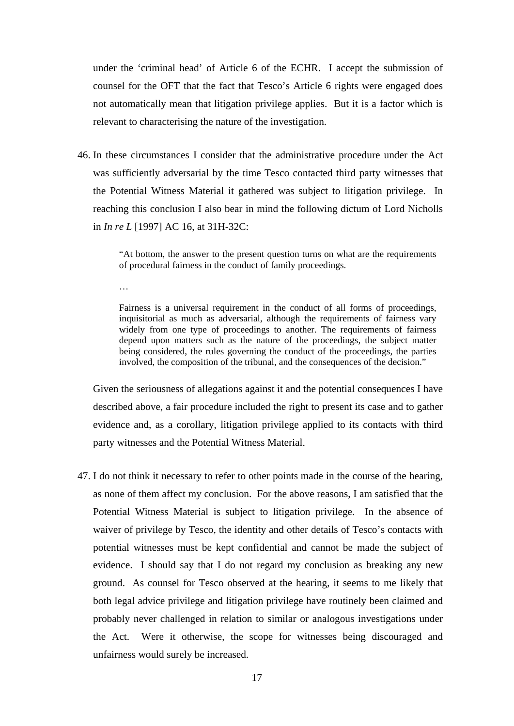under the 'criminal head' of Article 6 of the ECHR. I accept the submission of counsel for the OFT that the fact that Tesco's Article 6 rights were engaged does not automatically mean that litigation privilege applies. But it is a factor which is relevant to characterising the nature of the investigation.

46. In these circumstances I consider that the administrative procedure under the Act was sufficiently adversarial by the time Tesco contacted third party witnesses that the Potential Witness Material it gathered was subject to litigation privilege. In reaching this conclusion I also bear in mind the following dictum of Lord Nicholls in *In re L* [1997] AC 16, at 31H-32C:

> "At bottom, the answer to the present question turns on what are the requirements of procedural fairness in the conduct of family proceedings.

…

Fairness is a universal requirement in the conduct of all forms of proceedings, inquisitorial as much as adversarial, although the requirements of fairness vary widely from one type of proceedings to another. The requirements of fairness depend upon matters such as the nature of the proceedings, the subject matter being considered, the rules governing the conduct of the proceedings, the parties involved, the composition of the tribunal, and the consequences of the decision."

Given the seriousness of allegations against it and the potential consequences I have described above, a fair procedure included the right to present its case and to gather evidence and, as a corollary, litigation privilege applied to its contacts with third party witnesses and the Potential Witness Material.

47. I do not think it necessary to refer to other points made in the course of the hearing, as none of them affect my conclusion. For the above reasons, I am satisfied that the Potential Witness Material is subject to litigation privilege. In the absence of waiver of privilege by Tesco, the identity and other details of Tesco's contacts with potential witnesses must be kept confidential and cannot be made the subject of evidence. I should say that I do not regard my conclusion as breaking any new ground. As counsel for Tesco observed at the hearing, it seems to me likely that both legal advice privilege and litigation privilege have routinely been claimed and probably never challenged in relation to similar or analogous investigations under the Act. Were it otherwise, the scope for witnesses being discouraged and unfairness would surely be increased.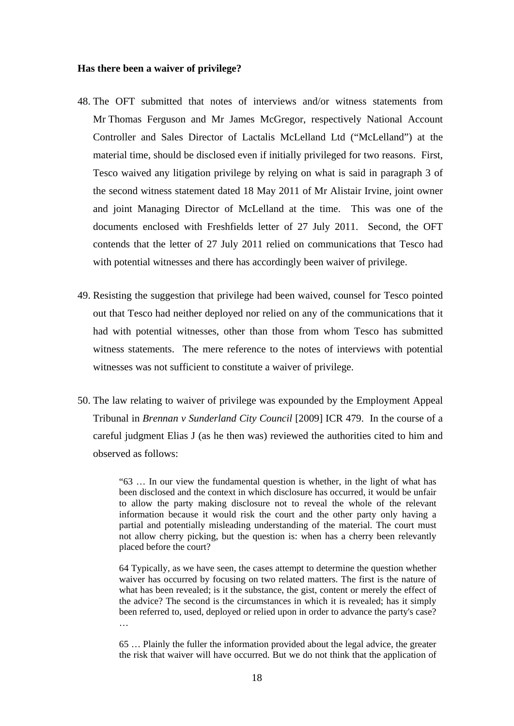#### **Has there been a waiver of privilege?**

- 48. The OFT submitted that notes of interviews and/or witness statements from Mr Thomas Ferguson and Mr James McGregor, respectively National Account Controller and Sales Director of Lactalis McLelland Ltd ("McLelland") at the material time, should be disclosed even if initially privileged for two reasons. First, Tesco waived any litigation privilege by relying on what is said in paragraph 3 of the second witness statement dated 18 May 2011 of Mr Alistair Irvine, joint owner and joint Managing Director of McLelland at the time. This was one of the documents enclosed with Freshfields letter of 27 July 2011. Second, the OFT contends that the letter of 27 July 2011 relied on communications that Tesco had with potential witnesses and there has accordingly been waiver of privilege.
- 49. Resisting the suggestion that privilege had been waived, counsel for Tesco pointed out that Tesco had neither deployed nor relied on any of the communications that it had with potential witnesses, other than those from whom Tesco has submitted witness statements. The mere reference to the notes of interviews with potential witnesses was not sufficient to constitute a waiver of privilege.
- 50. The law relating to waiver of privilege was expounded by the Employment Appeal Tribunal in *Brennan v Sunderland City Council* [2009] ICR 479. In the course of a careful judgment Elias J (as he then was) reviewed the authorities cited to him and observed as follows:

"63 … In our view the fundamental question is whether, in the light of what has been disclosed and the context in which disclosure has occurred, it would be unfair to allow the party making disclosure not to reveal the whole of the relevant information because it would risk the court and the other party only having a partial and potentially misleading understanding of the material. The court must not allow cherry picking, but the question is: when has a cherry been relevantly placed before the court?

64 Typically, as we have seen, the cases attempt to determine the question whether waiver has occurred by focusing on two related matters. The first is the nature of what has been revealed; is it the substance, the gist, content or merely the effect of the advice? The second is the circumstances in which it is revealed; has it simply been referred to, used, deployed or relied upon in order to advance the party's case? …

65 … Plainly the fuller the information provided about the legal advice, the greater the risk that waiver will have occurred. But we do not think that the application of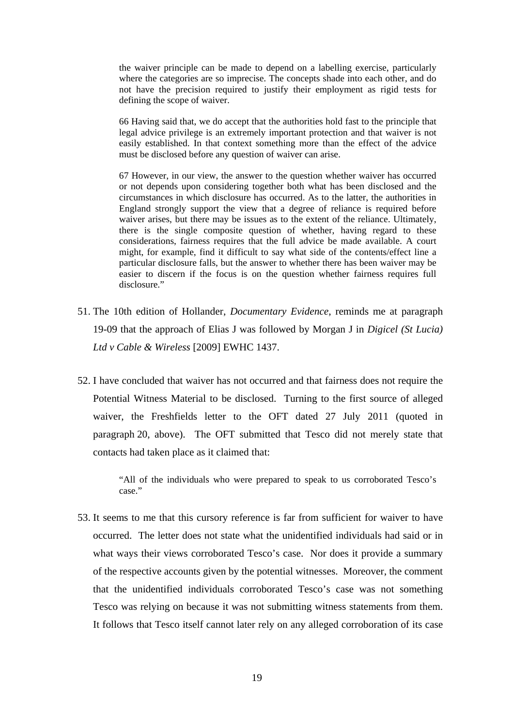the waiver principle can be made to depend on a labelling exercise, particularly where the categories are so imprecise. The concepts shade into each other, and do not have the precision required to justify their employment as rigid tests for defining the scope of waiver.

66 Having said that, we do accept that the authorities hold fast to the principle that legal advice privilege is an extremely important protection and that waiver is not easily established. In that context something more than the effect of the advice must be disclosed before any question of waiver can arise.

67 However, in our view, the answer to the question whether waiver has occurred or not depends upon considering together both what has been disclosed and the circumstances in which disclosure has occurred. As to the latter, the authorities in England strongly support the view that a degree of reliance is required before waiver arises, but there may be issues as to the extent of the reliance. Ultimately, there is the single composite question of whether, having regard to these considerations, fairness requires that the full advice be made available. A court might, for example, find it difficult to say what side of the contents/effect line a particular disclosure falls, but the answer to whether there has been waiver may be easier to discern if the focus is on the question whether fairness requires full disclosure."

- 51. The 10th edition of Hollander, *Documentary Evidence*, reminds me at paragraph 19-09 that the approach of Elias J was followed by Morgan J in *Digicel (St Lucia) Ltd v Cable & Wireless* [2009] EWHC 1437.
- 52. I have concluded that waiver has not occurred and that fairness does not require the Potential Witness Material to be disclosed. Turning to the first source of alleged waiver, the Freshfields letter to the OFT dated 27 July 2011 (quoted in paragraph 20, above). The OFT submitted that Tesco did not merely state that contacts had taken place as it claimed that:

"All of the individuals who were prepared to speak to us corroborated Tesco's case."

53. It seems to me that this cursory reference is far from sufficient for waiver to have occurred. The letter does not state what the unidentified individuals had said or in what ways their views corroborated Tesco's case. Nor does it provide a summary of the respective accounts given by the potential witnesses. Moreover, the comment that the unidentified individuals corroborated Tesco's case was not something Tesco was relying on because it was not submitting witness statements from them. It follows that Tesco itself cannot later rely on any alleged corroboration of its case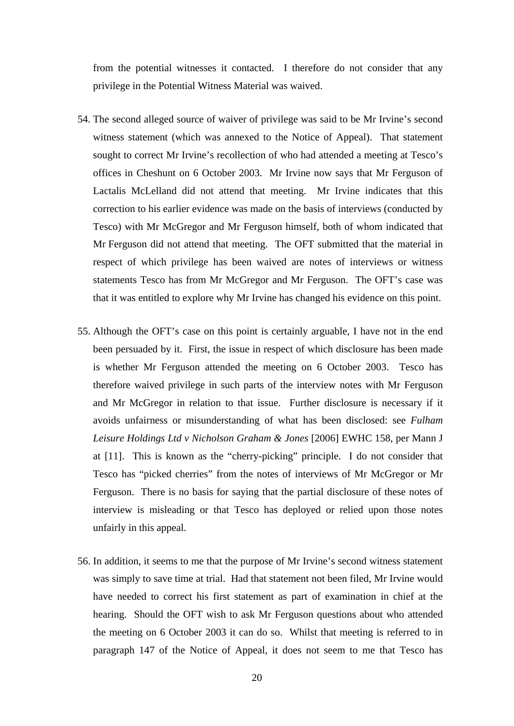from the potential witnesses it contacted. I therefore do not consider that any privilege in the Potential Witness Material was waived.

- 54. The second alleged source of waiver of privilege was said to be Mr Irvine's second witness statement (which was annexed to the Notice of Appeal). That statement sought to correct Mr Irvine's recollection of who had attended a meeting at Tesco's offices in Cheshunt on 6 October 2003. Mr Irvine now says that Mr Ferguson of Lactalis McLelland did not attend that meeting. Mr Irvine indicates that this correction to his earlier evidence was made on the basis of interviews (conducted by Tesco) with Mr McGregor and Mr Ferguson himself, both of whom indicated that Mr Ferguson did not attend that meeting. The OFT submitted that the material in respect of which privilege has been waived are notes of interviews or witness statements Tesco has from Mr McGregor and Mr Ferguson. The OFT's case was that it was entitled to explore why Mr Irvine has changed his evidence on this point.
- 55. Although the OFT's case on this point is certainly arguable, I have not in the end been persuaded by it. First, the issue in respect of which disclosure has been made is whether Mr Ferguson attended the meeting on 6 October 2003. Tesco has therefore waived privilege in such parts of the interview notes with Mr Ferguson and Mr McGregor in relation to that issue. Further disclosure is necessary if it avoids unfairness or misunderstanding of what has been disclosed: see *Fulham Leisure Holdings Ltd v Nicholson Graham & Jones* [2006] EWHC 158, per Mann J at [11]. This is known as the "cherry-picking" principle. I do not consider that Tesco has "picked cherries" from the notes of interviews of Mr McGregor or Mr Ferguson. There is no basis for saying that the partial disclosure of these notes of interview is misleading or that Tesco has deployed or relied upon those notes unfairly in this appeal.
- 56. In addition, it seems to me that the purpose of Mr Irvine's second witness statement was simply to save time at trial. Had that statement not been filed, Mr Irvine would have needed to correct his first statement as part of examination in chief at the hearing. Should the OFT wish to ask Mr Ferguson questions about who attended the meeting on 6 October 2003 it can do so. Whilst that meeting is referred to in paragraph 147 of the Notice of Appeal, it does not seem to me that Tesco has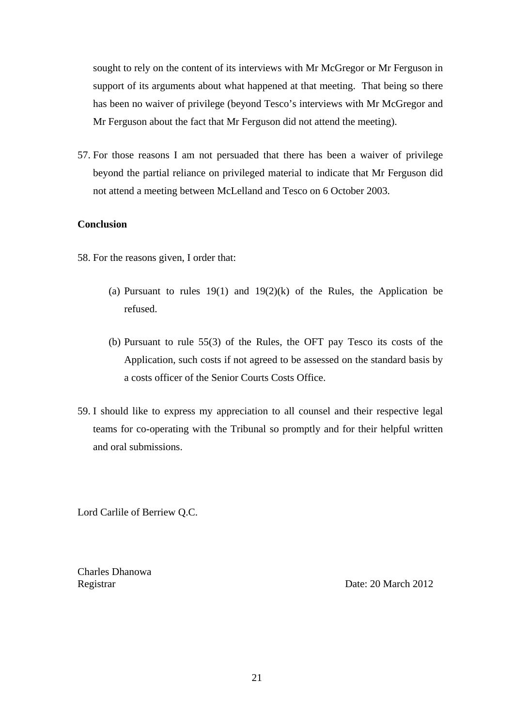sought to rely on the content of its interviews with Mr McGregor or Mr Ferguson in support of its arguments about what happened at that meeting. That being so there has been no waiver of privilege (beyond Tesco's interviews with Mr McGregor and Mr Ferguson about the fact that Mr Ferguson did not attend the meeting).

57. For those reasons I am not persuaded that there has been a waiver of privilege beyond the partial reliance on privileged material to indicate that Mr Ferguson did not attend a meeting between McLelland and Tesco on 6 October 2003.

### **Conclusion**

- 58. For the reasons given, I order that:
	- (a) Pursuant to rules  $19(1)$  and  $19(2)(k)$  of the Rules, the Application be refused.
	- (b) Pursuant to rule 55(3) of the Rules, the OFT pay Tesco its costs of the Application, such costs if not agreed to be assessed on the standard basis by a costs officer of the Senior Courts Costs Office.
- 59. I should like to express my appreciation to all counsel and their respective legal teams for co-operating with the Tribunal so promptly and for their helpful written and oral submissions.

Lord Carlile of Berriew Q.C.

Charles Dhanowa

Registrar Date: 20 March 2012